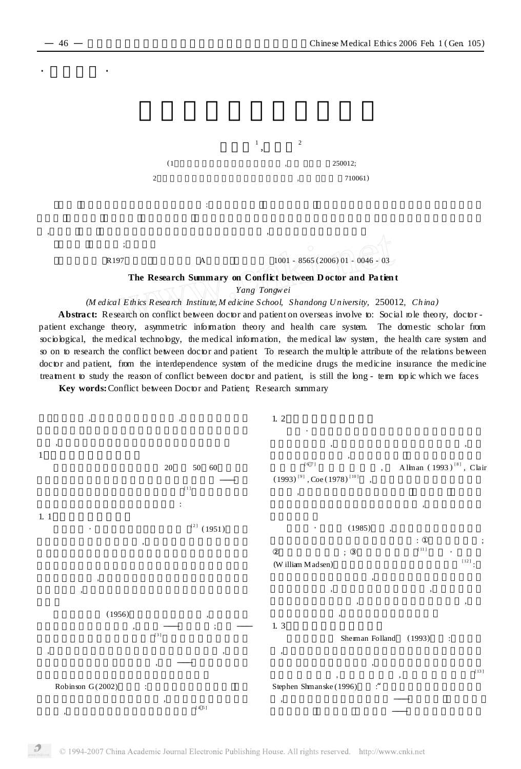$\cdot$   $\cdot$   $\cdot$   $\cdot$   $\cdot$   $\cdot$ 



## **The Research Summary on Conflict between D octor and Pa tient**

*Yang Tongwei*

*(M edical Ethics Research Institute, M edicine School, Shandong University,* 250012*, Ch ina)*

Abstract: Research on conflict between doctor and patient on overseas involve to: Social role theory, doctor patient exchange theory, asymmetric information theory and health care system. The domestic scholar from sociological, the medical technology, the medical information, the medical law system, the health care system and so on to research the conflict between doctor and patient. To research the multiple attribute of the relations between doctor and patient, from the interdependence system of the medicine drugs the medicine insurance the medicine treatment to study the reason of conflict between doctor and patient, is still the long - term topic which we faces.

**Key words:**Conflict between Doctor and Patient; Research summary

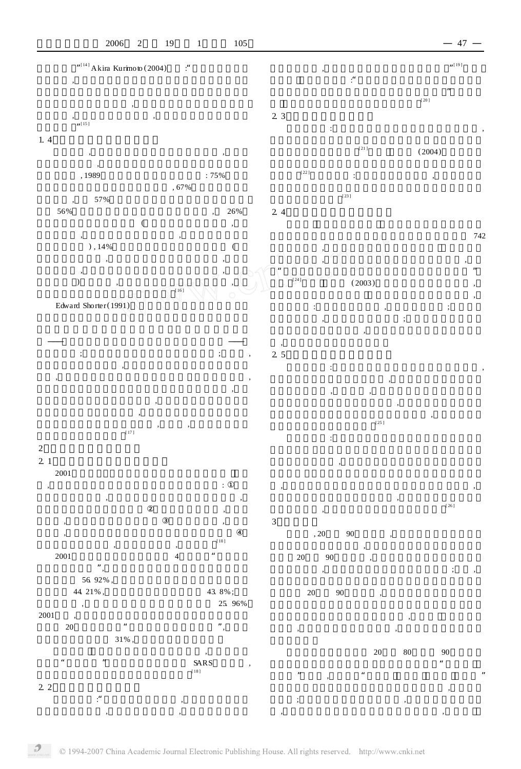

 $\mathcal{D}$